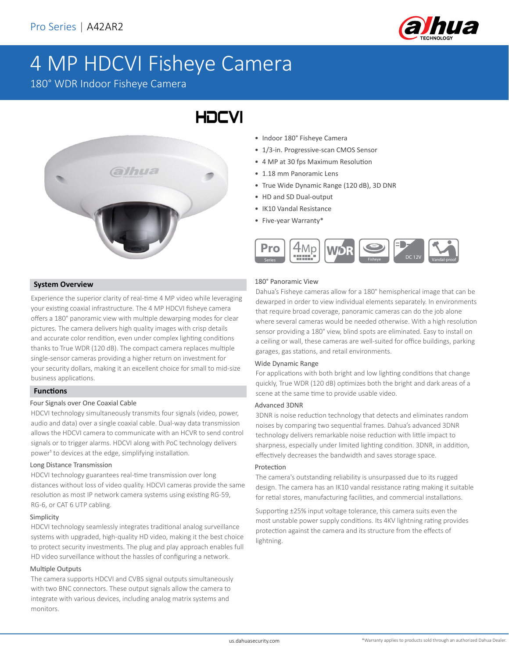

# 4 MP HDCVI Fisheye Camera

180° WDR Indoor Fisheye Camera



- Indoor 180° Fisheye Camera
- 1/3-in. Progressive-scan CMOS Sensor
- 4 MP at 30 fps Maximum Resolution
- 1.18 mm Panoramic Lens
- True Wide Dynamic Range (120 dB), 3D DNR
- HD and SD Dual-output
- IK10 Vandal Resistance
- Five-year Warranty\*



#### **System Overview**

Experience the superior clarity of real-time 4 MP video while leveraging your existing coaxial infrastructure. The 4 MP HDCVI fisheye camera offers a 180° panoramic view with multiple dewarping modes for clear pictures. The camera delivers high quality images with crisp details and accurate color rendition, even under complex lighting conditions thanks to True WDR (120 dB). The compact camera replaces multiple single-sensor cameras providing a higher return on investment for your security dollars, making it an excellent choice for small to mid-size business applications.

#### **Functions**

#### Four Signals over One Coaxial Cable

HDCVI technology simultaneously transmits four signals (video, power, audio and data) over a single coaxial cable. Dual-way data transmission allows the HDCVI camera to communicate with an HCVR to send control signals or to trigger alarms. HDCVI along with PoC technology delivers power<sup>1</sup> to devices at the edge, simplifying installation.

#### Long Distance Transmission

HDCVI technology guarantees real-time transmission over long distances without loss of video quality. HDCVI cameras provide the same resolution as most IP network camera systems using existing RG-59, RG-6, or CAT 6 UTP cabling.

#### Simplicity

HDCVI technology seamlessly integrates traditional analog surveillance systems with upgraded, high-quality HD video, making it the best choice to protect security investments. The plug and play approach enables full HD video surveillance without the hassles of configuring a network.

#### Multiple Outputs

The camera supports HDCVI and CVBS signal outputs simultaneously with two BNC connectors. These output signals allow the camera to integrate with various devices, including analog matrix systems and monitors.

#### 180° Panoramic View

Dahua's Fisheye cameras allow for a 180° hemispherical image that can be dewarped in order to view individual elements separately. In environments that require broad coverage, panoramic cameras can do the job alone where several cameras would be needed otherwise. With a high resolution sensor providing a 180° view, blind spots are eliminated. Easy to install on a ceiling or wall, these cameras are well-suited for office buildings, parking garages, gas stations, and retail environments.

#### Wide Dynamic Range

For applications with both bright and low lighting conditions that change quickly, True WDR (120 dB) optimizes both the bright and dark areas of a scene at the same time to provide usable video.

#### Advanced 3DNR

3DNR is noise reduction technology that detects and eliminates random noises by comparing two sequential frames. Dahua's advanced 3DNR technology delivers remarkable noise reduction with little impact to sharpness, especially under limited lighting condition. 3DNR, in addition, effectively decreases the bandwidth and saves storage space.

#### Protection

The camera's outstanding reliability is unsurpassed due to its rugged design. The camera has an IK10 vandal resistance rating making it suitable for retial stores, manufacturing facilities, and commercial installations.

Supporting ±25% input voltage tolerance, this camera suits even the most unstable power supply conditions. Its 4KV lightning rating provides protection against the camera and its structure from the effects of lightning.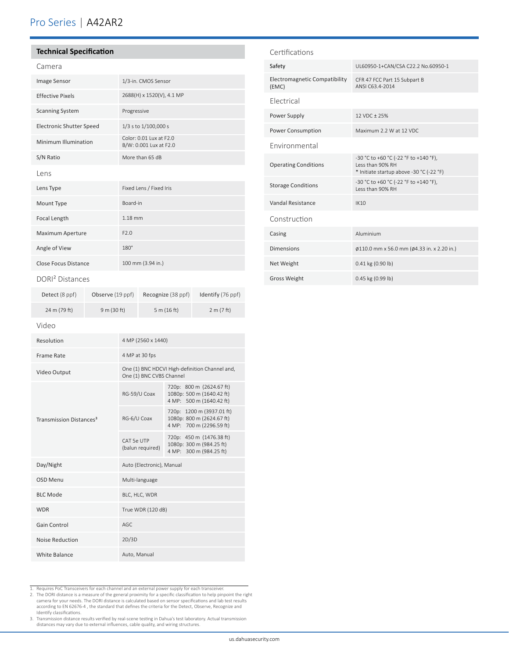### Pro Series | A42AR2

#### **Technical Specification**

| Camera                   |                                                   |
|--------------------------|---------------------------------------------------|
| Image Sensor             | 1/3-in. CMOS Sensor                               |
| <b>Effective Pixels</b>  | 2688(H) x 1520(V), 4.1 MP                         |
| <b>Scanning System</b>   | Progressive                                       |
| Electronic Shutter Speed | 1/3 s to 1/100,000 s                              |
| Minimum Illumination     | Color: 0.01 Lux at F2.0<br>B/W: 0.001 Lux at F2.0 |
| S/N Ratio                | More than 65 dB                                   |
| Lens                     |                                                   |
|                          |                                                   |
| Lens Type                | Fixed Lens / Fixed Iris                           |
| Mount Type               | Board-in                                          |
| <b>Focal Length</b>      | $1.18$ mm                                         |
| Maximum Aperture         | F2.0                                              |
| Angle of View            | $180^\circ$                                       |

#### DORI² Distances

| Detect (8 ppf) | Observe (19 ppf) | Recognize (38 ppf) | Identify (76 ppf) |
|----------------|------------------|--------------------|-------------------|
| 24 m (79 ft)   | 9 m (30 ft)      | 5 m $(16 ft)$      | 2 m (7 ft)        |

#### Safety UL60950-1+CAN/CSA C22.2 No.60950-1 Electromagnetic Compatibility (EMC) CFR 47 FCC Part 15 Subpart B ANSI C63.4-2014

Certifications

| <b>Flectrical</b>           |                                                                                                       |
|-----------------------------|-------------------------------------------------------------------------------------------------------|
| Power Supply                | 12 VDC + 25%                                                                                          |
| Power Consumption           | Maximum 2.2 W at 12 VDC                                                                               |
| <b>Environmental</b>        |                                                                                                       |
| <b>Operating Conditions</b> | -30 °C to +60 °C (-22 °F to +140 °F),<br>Less than 90% RH<br>* Initiate startup above -30 °C (-22 °F) |
| <b>Storage Conditions</b>   | -30 °C to +60 °C (-22 °F to +140 °F),<br>Less than 90% RH                                             |
| Vandal Resistance           | <b>IK10</b>                                                                                           |
| Construction                |                                                                                                       |
| Casing                      | Aluminium                                                                                             |
| <b>Dimensions</b>           | Ø110.0 mm x 56.0 mm (Ø4.33 in. x 2.20 in.)                                                            |
| Net Weight                  | 0.41 kg (0.90 lb)                                                                                     |
| Gross Weight                | 0.45 kg (0.99 lb)                                                                                     |

#### Video

| Resolution                          | 4 MP (2560 x 1440)                                                         |                                                                                    |
|-------------------------------------|----------------------------------------------------------------------------|------------------------------------------------------------------------------------|
| Frame Rate                          | 4 MP at 30 fps                                                             |                                                                                    |
| Video Output                        | One (1) BNC HDCVI High-definition Channel and,<br>One (1) BNC CVBS Channel |                                                                                    |
| Transmission Distances <sup>3</sup> | RG-59/U Coax                                                               | 720p: 800 m (2624.67 ft)<br>1080p: 500 m (1640.42 ft)<br>4 MP: 500 m (1640.42 ft)  |
|                                     | RG-6/U Coax                                                                | 720p: 1200 m (3937.01 ft)<br>1080p: 800 m (2624.67 ft)<br>4 MP: 700 m (2296.59 ft) |
|                                     | CAT 5e UTP<br>(balun required)                                             | 720p: 450 m (1476.38 ft)<br>1080p: 300 m (984.25 ft)<br>4 MP: 300 m (984.25 ft)    |
| Day/Night                           | Auto (Electronic), Manual                                                  |                                                                                    |
| OSD Menu                            | Multi-language                                                             |                                                                                    |
| <b>BLC Mode</b>                     | BLC, HLC, WDR                                                              |                                                                                    |
| <b>WDR</b>                          | True WDR (120 dB)                                                          |                                                                                    |
| Gain Control                        | AGC                                                                        |                                                                                    |
| Noise Reduction                     | 2D/3D                                                                      |                                                                                    |
| White Balance                       | Auto, Manual                                                               |                                                                                    |

1. Requires PoC Transceivers for each channel and an external power supply for each transceiver.

2. The DORI distance is a measure of the general proximity for a specific classification to help pinpoint the right camera for your needs. The DORI distance is calculated based on sensor specifications and lab test results<br>according to EN 62676-4 , the standard that defines the criteria for the Detect, Observe, Recognize and<br>Identify cl

3. Transmission distance results verified by real-scene testing in Dahua's test laboratory. Actual transmission distances may vary due to external influences, cable quality, and wiring structures.